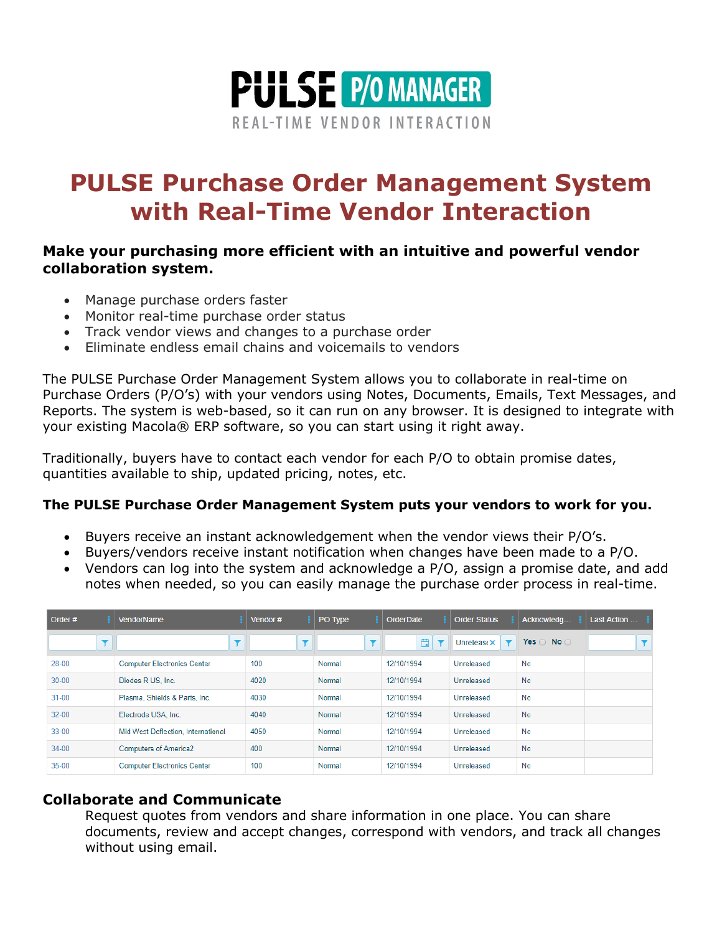

# **PULSE Purchase Order Management System with Real-Time Vendor Interaction**

## **Make your purchasing more efficient with an intuitive and powerful vendor collaboration system.**

- Manage purchase orders faster
- Monitor real-time purchase order status
- Track vendor views and changes to a purchase order
- Eliminate endless email chains and voicemails to vendors

The PULSE Purchase Order Management System allows you to collaborate in real-time on Purchase Orders (P/O's) with your vendors using Notes, Documents, Emails, Text Messages, and Reports. The system is web-based, so it can run on any browser. It is designed to integrate with your existing Macola® ERP software, so you can start using it right away.

Traditionally, buyers have to contact each vendor for each P/O to obtain promise dates, quantities available to ship, updated pricing, notes, etc.

#### **The PULSE Purchase Order Management System puts your vendors to work for you.**

- Buyers receive an instant acknowledgement when the vendor views their P/O's.
- Buyers/vendors receive instant notification when changes have been made to a P/O.
- Vendors can log into the system and acknowledge a P/O, assign a promise date, and add notes when needed, so you can easily manage the purchase order process in real-time.

| Order#    | <b>VendorName</b>                  | Vendor $#$ | PO Type | OrderDate  | <b>Order Status</b> | Acknowledg                   | Last Action |
|-----------|------------------------------------|------------|---------|------------|---------------------|------------------------------|-------------|
|           | $\overline{\phantom{a}}$           | ۳          | ۳       | 自<br>▼     | Unrelease $\times$  | Yes $\bigcirc$ No $\bigcirc$ | TI          |
| $28 - 00$ | <b>Computer Electronics Center</b> | 100        | Normal  | 12/10/1994 | Unreleased          | <b>No</b>                    |             |
| $30 - 00$ | Diodes R US, Inc.                  | 4020       | Normal  | 12/10/1994 | Unreleased          | <b>No</b>                    |             |
| $31 - 00$ | Plasma, Shields & Parts, Inc.      | 4030       | Normal  | 12/10/1994 | Unreleased          | <b>No</b>                    |             |
| $32 - 00$ | Electrode USA, Inc.                | 4040       | Normal  | 12/10/1994 | Unreleased          | <b>No</b>                    |             |
| $33 - 00$ | Mid West Deflection, International | 4050       | Normal  | 12/10/1994 | Unreleased          | <b>No</b>                    |             |
| $34 - 00$ | <b>Computers of America2</b>       | 400        | Normal  | 12/10/1994 | Unreleased          | <b>No</b>                    |             |
| $35-00$   | <b>Computer Electronics Center</b> | 100        | Normal  | 12/10/1994 | Unreleased          | No                           |             |

#### **Collaborate and Communicate**

Request quotes from vendors and share information in one place. You can share documents, review and accept changes, correspond with vendors, and track all changes without using email.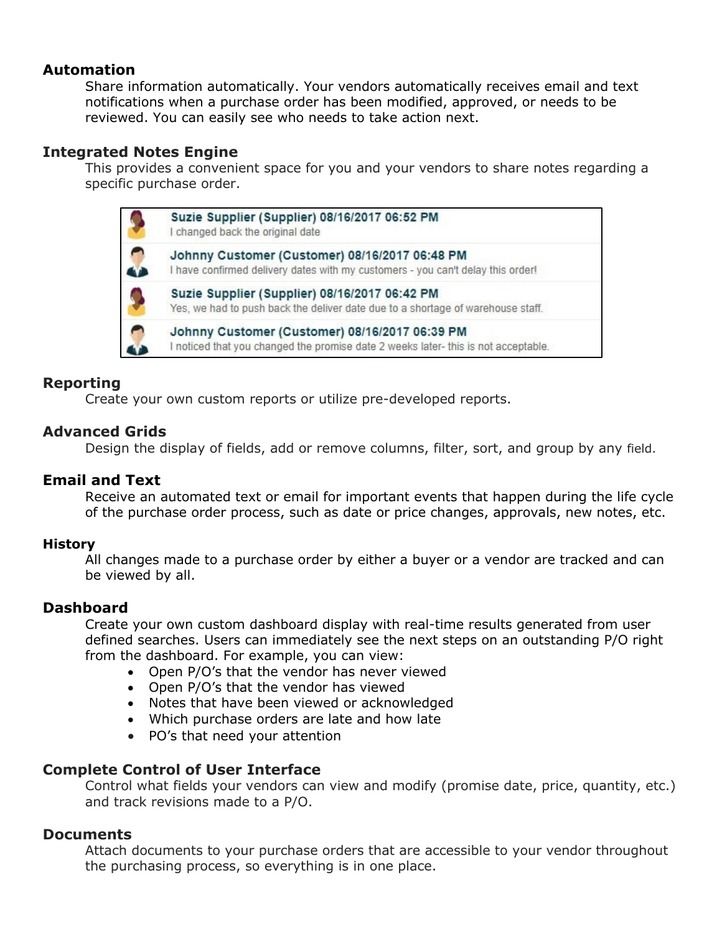## **Automation**

Share information automatically. Your vendors automatically receives email and text notifications when a purchase order has been modified, approved, or needs to be reviewed. You can easily see who needs to take action next.

## **Integrated Notes Engine**

This provides a convenient space for you and your vendors to share notes regarding a specific purchase order.



# **Reporting**

Create your own custom reports or utilize pre-developed reports.

## **Advanced Grids**

Design the display of fields, add or remove columns, filter, sort, and group by any field.

# **Email and Text**

Receive an automated text or email for important events that happen during the life cycle of the purchase order process, such as date or price changes, approvals, new notes, etc.

#### **History**

All changes made to a purchase order by either a buyer or a vendor are tracked and can be viewed by all.

# **Dashboard**

Create your own custom dashboard display with real-time results generated from user defined searches. Users can immediately see the next steps on an outstanding P/O right from the dashboard. For example, you can view:

- Open P/O's that the vendor has never viewed
- Open P/O's that the vendor has viewed
- Notes that have been viewed or acknowledged
- Which purchase orders are late and how late
- PO's that need your attention

# **Complete Control of User Interface**

Control what fields your vendors can view and modify (promise date, price, quantity, etc.) and track revisions made to a P/O.

#### **Documents**

Attach documents to your purchase orders that are accessible to your vendor throughout the purchasing process, so everything is in one place.